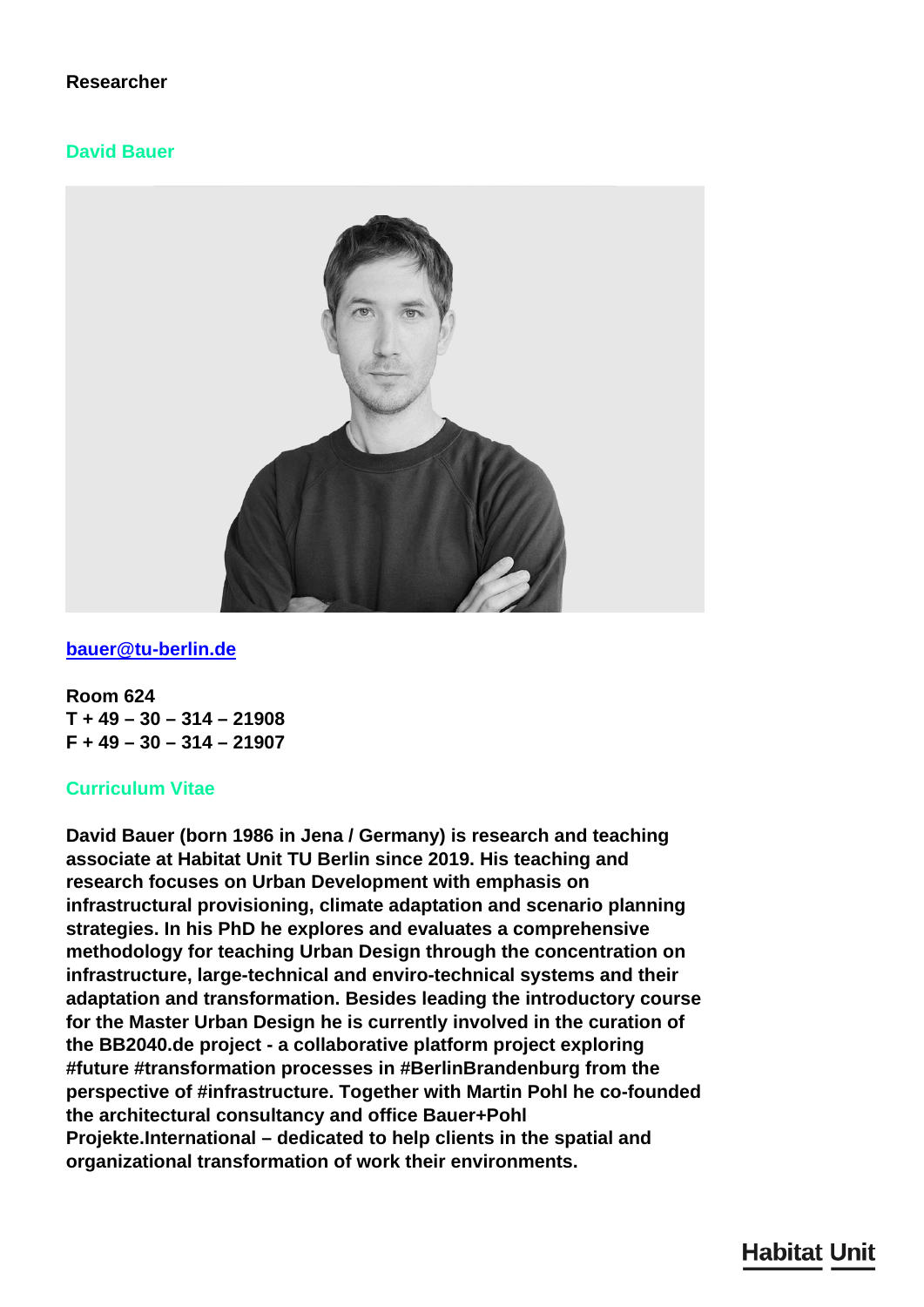# **Researcher**

#### **David Bauer**



#### **[bauer@tu-berlin.de](mailto:bauer@tu-berlin.de)**

**Room 624 T + 49 – 30 – 314 – 21908 F + 49 – 30 – 314 – 21907**

#### **Curriculum Vitae**

**David Bauer (born 1986 in Jena / Germany) is research and teaching associate at Habitat Unit TU Berlin since 2019. His teaching and research focuses on Urban Development with emphasis on infrastructural provisioning, climate adaptation and scenario planning strategies. In his PhD he explores and evaluates a comprehensive methodology for teaching Urban Design through the concentration on infrastructure, large-technical and enviro-technical systems and their adaptation and transformation. Besides leading the introductory course for the Master Urban Design he is currently involved in the curation of the BB2040.de project - a collaborative platform project exploring #future #transformation processes in #BerlinBrandenburg from the perspective of #infrastructure. Together with Martin Pohl he co-founded the architectural consultancy and office Bauer+Pohl Projekte.International – dedicated to help clients in the spatial and organizational transformation of work their environments.**

# **Habitat Unit**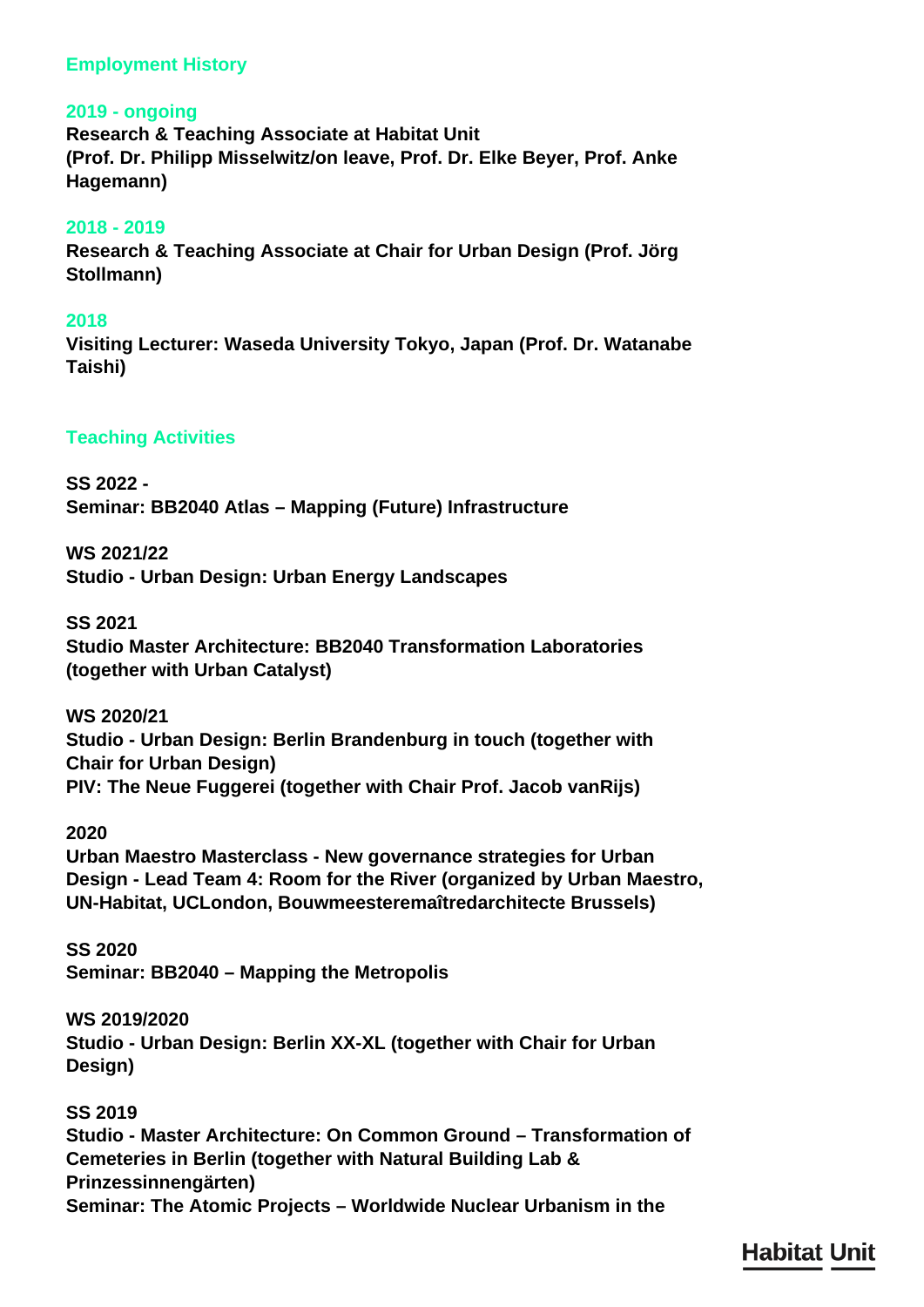# **Employment History**

#### **2019 - ongoing**

**Research & Teaching Associate at Habitat Unit (Prof. Dr. Philipp Misselwitz/on leave, Prof. Dr. Elke Beyer, Prof. Anke Hagemann)**

#### **2018 - 2019**

**Research & Teaching Associate at Chair for Urban Design (Prof. Jörg Stollmann)**

#### **2018**

**Visiting Lecturer: Waseda University Tokyo, Japan (Prof. Dr. Watanabe Taishi)**

#### **Teaching Activities**

**SS 2022 - Seminar: BB2040 Atlas – Mapping (Future) Infrastructure**

**WS 2021/22 Studio - Urban Design: Urban Energy Landscapes**

**SS 2021 Studio Master Architecture: BB2040 Transformation Laboratories (together with Urban Catalyst)**

**WS 2020/21 Studio - Urban Design: Berlin Brandenburg in touch (together with Chair for Urban Design) PIV: The Neue Fuggerei (together with Chair Prof. Jacob vanRijs)**

**2020**

**Urban Maestro Masterclass - New governance strategies for Urban Design - Lead Team 4: Room for the River (organized by Urban Maestro, UN-Habitat, UCLondon, Bouwmeesteremaîtredarchitecte Brussels)**

**SS 2020 Seminar: BB2040 – Mapping the Metropolis**

**WS 2019/2020 Studio - Urban Design: Berlin XX-XL (together with Chair for Urban Design)**

**SS 2019 Studio - Master Architecture: On Common Ground – Transformation of Cemeteries in Berlin (together with Natural Building Lab & Prinzessinnengärten) Seminar: The Atomic Projects – Worldwide Nuclear Urbanism in the**

**Habitat Unit**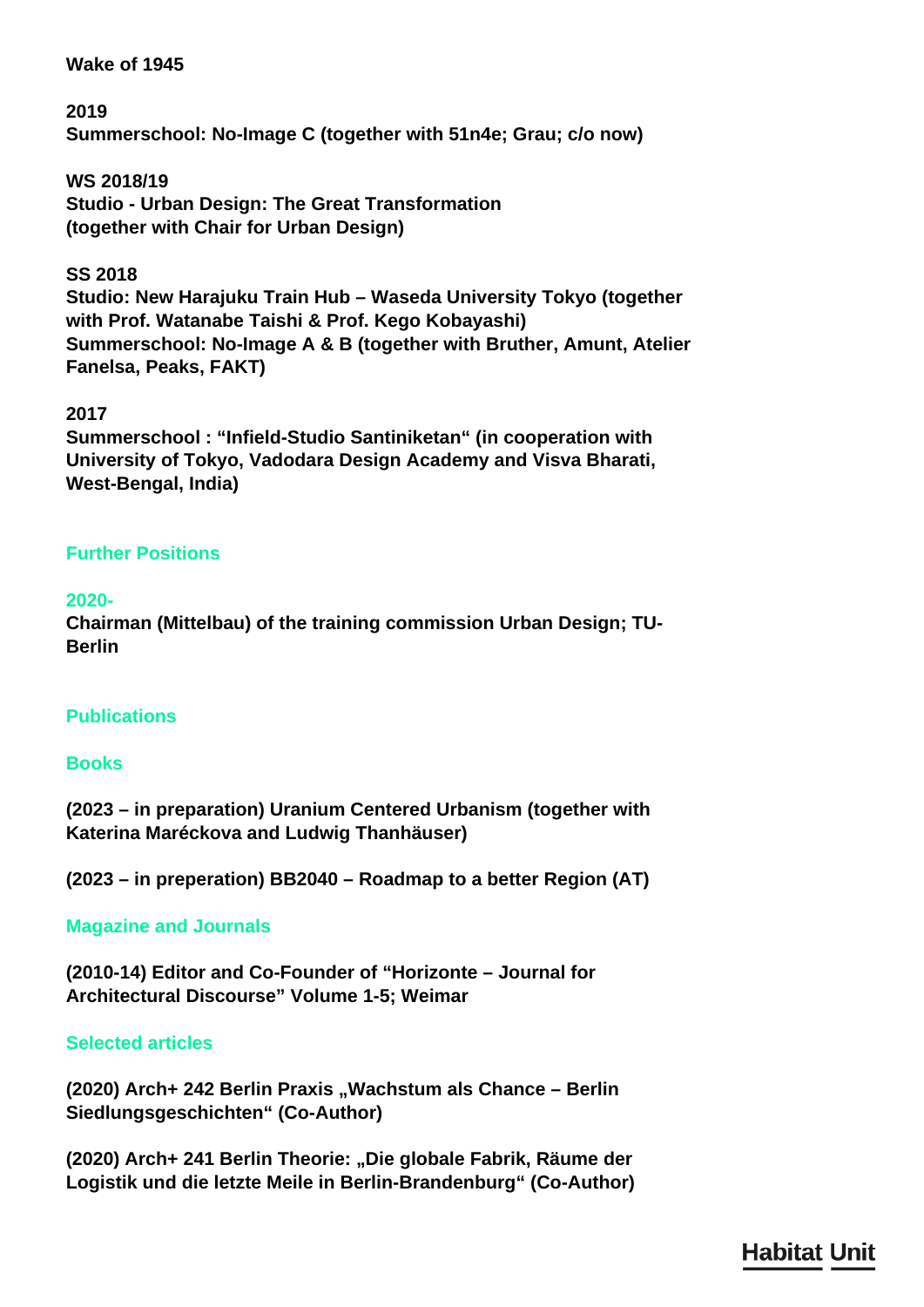# **Wake of 1945**

**2019 Summerschool: No-Image C (together with 51n4e; Grau; c/o now)**

**WS 2018/19 Studio - Urban Design: The Great Transformation (together with Chair for Urban Design)**

# **SS 2018**

**Studio: New Harajuku Train Hub – Waseda University Tokyo (together with Prof. Watanabe Taishi & Prof. Kego Kobayashi) Summerschool: No-Image A & B (together with Bruther, Amunt, Atelier Fanelsa, Peaks, FAKT)**

# **2017**

**Summerschool : "Infield-Studio Santiniketan" (in cooperation with University of Tokyo, Vadodara Design Academy and Visva Bharati, West-Bengal, India)**

# **Further Positions**

# **2020-**

**Chairman (Mittelbau) of the training commission Urban Design; TU-Berlin**

# **Publications**

#### **Books**

**(2023 – in preparation) Uranium Centered Urbanism (together with Katerina Maréckova and Ludwig Thanhäuser)**

**(2023 – in preperation) BB2040 – Roadmap to a better Region (AT)**

# **Magazine and Journals**

**(2010-14) Editor and Co-Founder of "Horizonte – Journal for Architectural Discourse" Volume 1-5; Weimar**

#### **Selected articles**

(2020) Arch+ 242 Berlin Praxis "Wachstum als Chance - Berlin **Siedlungsgeschichten" (Co-Author)**

**(2020) Arch+ 241 Berlin Theorie: "Die globale Fabrik, Räume der Logistik und die letzte Meile in Berlin-Brandenburg" (Co-Author)**

# **Habitat Unit**